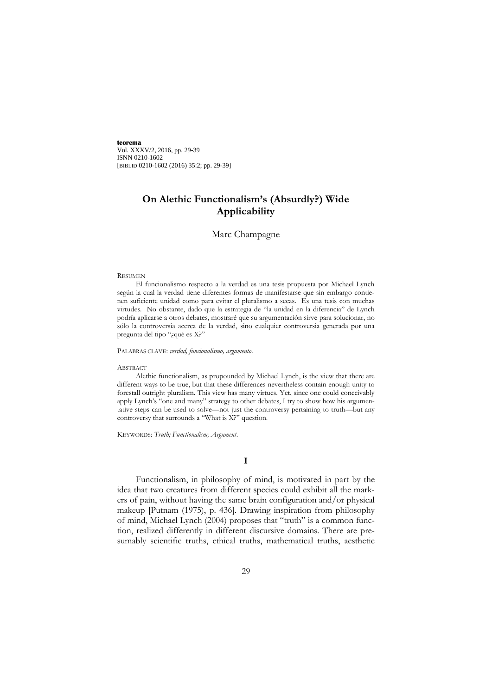**teorema** Vol. XXXV/2, 2016, pp. 29-39 ISNN 0210-1602 [BIBLID 0210-1602 (2016) 35:2; pp. 29-39]

# **On Alethic Functionalism's (Absurdly?) Wide Applicability**

## Marc Champagne

#### RESUMEN

El funcionalismo respecto a la verdad es una tesis propuesta por Michael Lynch según la cual la verdad tiene diferentes formas de manifestarse que sin embargo contienen suficiente unidad como para evitar el pluralismo a secas. Es una tesis con muchas virtudes. No obstante, dado que la estrategia de "la unidad en la diferencia" de Lynch podría aplicarse a otros debates, mostraré que su argumentación sirve para solucionar, no sólo la controversia acerca de la verdad, sino cualquier controversia generada por una pregunta del tipo "¿qué es X?"

PALABRAS CLAVE: *verdad, funcionalismo, argumento*.

#### ABSTRACT

Alethic functionalism, as propounded by Michael Lynch, is the view that there are different ways to be true, but that these differences nevertheless contain enough unity to forestall outright pluralism. This view has many virtues. Yet, since one could conceivably apply Lynch's "one and many" strategy to other debates, I try to show how his argumentative steps can be used to solve—not just the controversy pertaining to truth—but any controversy that surrounds a "What is X?" question.

KEYWORDS: *Truth; Functionalism; Argument*.

## **I**

Functionalism, in philosophy of mind, is motivated in part by the idea that two creatures from different species could exhibit all the markers of pain, without having the same brain configuration and/or physical makeup [Putnam (1975), p. 436]. Drawing inspiration from philosophy of mind, Michael Lynch (2004) proposes that "truth" is a common function, realized differently in different discursive domains. There are presumably scientific truths, ethical truths, mathematical truths, aesthetic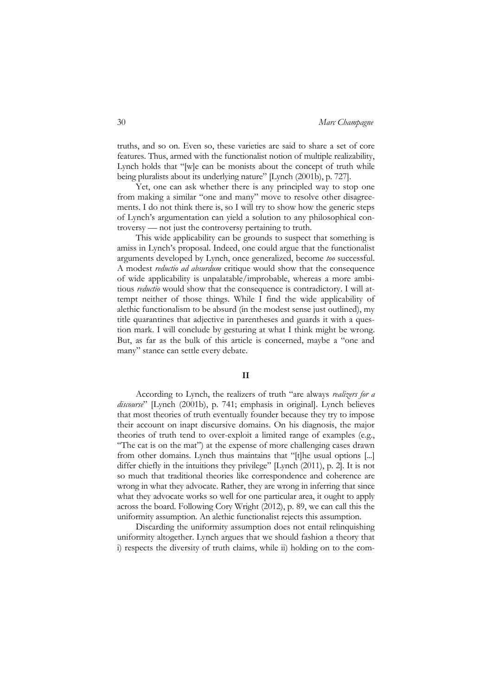truths, and so on. Even so, these varieties are said to share a set of core features. Thus, armed with the functionalist notion of multiple realizability, Lynch holds that "[w]e can be monists about the concept of truth while being pluralists about its underlying nature" [Lynch (2001b), p. 727].

Yet, one can ask whether there is any principled way to stop one from making a similar "one and many" move to resolve other disagreements. I do not think there is, so I will try to show how the generic steps of Lynch's argumentation can yield a solution to any philosophical controversy –– not just the controversy pertaining to truth.

This wide applicability can be grounds to suspect that something is amiss in Lynch's proposal. Indeed, one could argue that the functionalist arguments developed by Lynch, once generalized, become *too* successful. A modest *reductio ad absurdum* critique would show that the consequence of wide applicability is unpalatable/improbable, whereas a more ambitious *reductio* would show that the consequence is contradictory. I will attempt neither of those things. While I find the wide applicability of alethic functionalism to be absurd (in the modest sense just outlined), my title quarantines that adjective in parentheses and guards it with a question mark. I will conclude by gesturing at what I think might be wrong. But, as far as the bulk of this article is concerned, maybe a "one and many" stance can settle every debate.

### **II**

According to Lynch, the realizers of truth "are always *realizers for a discourse*" [Lynch (2001b), p. 741; emphasis in original]. Lynch believes that most theories of truth eventually founder because they try to impose their account on inapt discursive domains. On his diagnosis, the major theories of truth tend to over-exploit a limited range of examples (e.g., "The cat is on the mat") at the expense of more challenging cases drawn from other domains. Lynch thus maintains that "[t]he usual options [...] differ chiefly in the intuitions they privilege" [Lynch (2011), p. 2]. It is not so much that traditional theories like correspondence and coherence are wrong in what they advocate. Rather, they are wrong in inferring that since what they advocate works so well for one particular area, it ought to apply across the board. Following Cory Wright (2012), p. 89, we can call this the uniformity assumption. An alethic functionalist rejects this assumption.

Discarding the uniformity assumption does not entail relinquishing uniformity altogether. Lynch argues that we should fashion a theory that i) respects the diversity of truth claims, while ii) holding on to the com-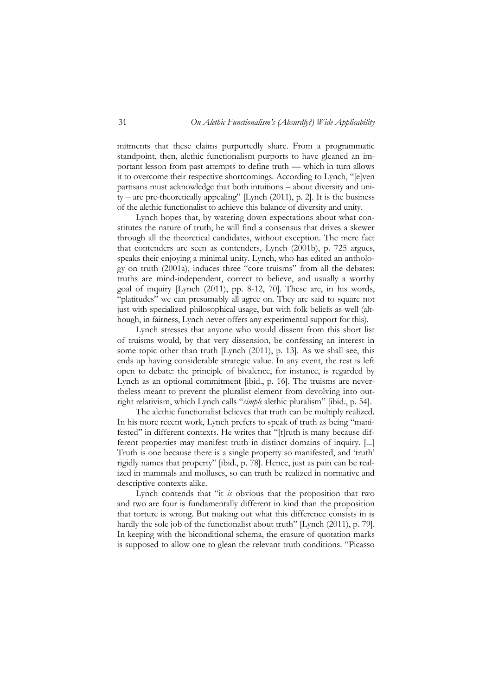mitments that these claims purportedly share. From a programmatic standpoint, then, alethic functionalism purports to have gleaned an important lesson from past attempts to define truth — which in turn allows it to overcome their respective shortcomings. According to Lynch, "[e]ven partisans must acknowledge that both intuitions – about diversity and uni $ty - are pre-theoretically appealing'$  [Lynch (2011), p. 2]. It is the business of the alethic functionalist to achieve this balance of diversity and unity.

Lynch hopes that, by watering down expectations about what constitutes the nature of truth, he will find a consensus that drives a skewer through all the theoretical candidates, without exception. The mere fact that contenders are seen as contenders, Lynch (2001b), p. 725 argues, speaks their enjoying a minimal unity. Lynch, who has edited an anthology on truth (2001a), induces three "core truisms" from all the debates: truths are mind-independent, correct to believe, and usually a worthy goal of inquiry [Lynch (2011), pp. 8-12, 70]. These are, in his words, "platitudes" we can presumably all agree on. They are said to square not just with specialized philosophical usage, but with folk beliefs as well (although, in fairness, Lynch never offers any experimental support for this).

Lynch stresses that anyone who would dissent from this short list of truisms would, by that very dissension, be confessing an interest in some topic other than truth [Lynch (2011), p. 13]. As we shall see, this ends up having considerable strategic value. In any event, the rest is left open to debate: the principle of bivalence, for instance, is regarded by Lynch as an optional commitment [ibid., p. 16]. The truisms are nevertheless meant to prevent the pluralist element from devolving into outright relativism, which Lynch calls "*simple* alethic pluralism" [ibid., p. 54].

The alethic functionalist believes that truth can be multiply realized. In his more recent work, Lynch prefers to speak of truth as being "manifested" in different contexts. He writes that "[t]ruth is many because different properties may manifest truth in distinct domains of inquiry. [...] Truth is one because there is a single property so manifested, and 'truth' rigidly names that property" [ibid., p. 78]. Hence, just as pain can be realized in mammals and molluscs, so can truth be realized in normative and descriptive contexts alike.

Lynch contends that "it *is* obvious that the proposition that two and two are four is fundamentally different in kind than the proposition that torture is wrong. But making out what this difference consists in is hardly the sole job of the functionalist about truth" [Lynch (2011), p. 79]. In keeping with the biconditional schema, the erasure of quotation marks is supposed to allow one to glean the relevant truth conditions. "Picasso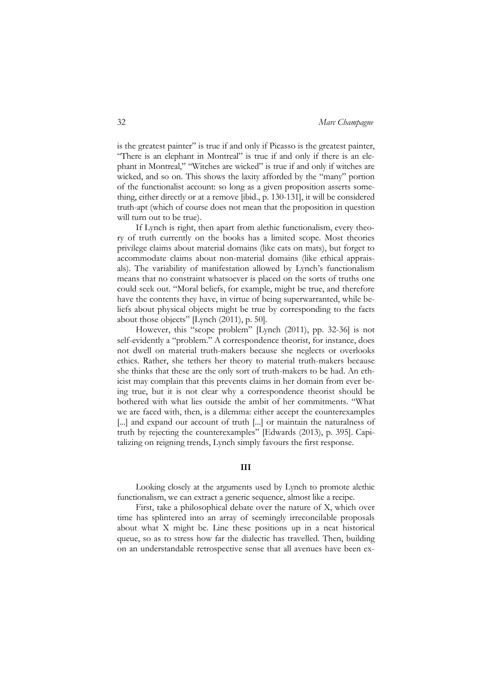is the greatest painter" is true if and only if Picasso is the greatest painter, "There is an elephant in Montreal" is true if and only if there is an elephant in Montreal," "Witches are wicked" is true if and only if witches are wicked, and so on. This shows the laxity afforded by the "many" portion of the functionalist account: so long as a given proposition asserts something, either directly or at a remove [ibid., p. 130-131], it will be considered truth-apt (which of course does not mean that the proposition in question will turn out to be true).

If Lynch is right, then apart from alethic functionalism, every theory of truth currently on the books has a limited scope. Most theories privilege claims about material domains (like cats on mats), but forget to accommodate claims about non-material domains (like ethical appraisals). The variability of manifestation allowed by Lynch's functionalism means that no constraint whatsoever is placed on the sorts of truths one could seek out. "Moral beliefs, for example, might be true, and therefore have the contents they have, in virtue of being superwarranted, while beliefs about physical objects might be true by corresponding to the facts about those objects" [Lynch (2011), p. 50].

However, this "scope problem" [Lynch (2011), pp. 32-36] is not self-evidently a "problem." A correspondence theorist, for instance, does not dwell on material truth-makers because she neglects or overlooks ethics. Rather, she tethers her theory to material truth-makers because she thinks that these are the only sort of truth-makers to be had. An ethicist may complain that this prevents claims in her domain from ever being true, but it is not clear why a correspondence theorist should be bothered with what lies outside the ambit of her commitments. "What we are faced with, then, is a dilemma: either accept the counterexamples [...] and expand our account of truth [...] or maintain the naturalness of truth by rejecting the counterexamples" [Edwards (2013), p. 395]. Capitalizing on reigning trends, Lynch simply favours the first response.

## **III**

Looking closely at the arguments used by Lynch to promote alethic functionalism, we can extract a generic sequence, almost like a recipe.

First, take a philosophical debate over the nature of X, which over time has splintered into an array of seemingly irreconcilable proposals about what X might be. Line these positions up in a neat historical queue, so as to stress how far the dialectic has travelled. Then, building on an understandable retrospective sense that all avenues have been ex-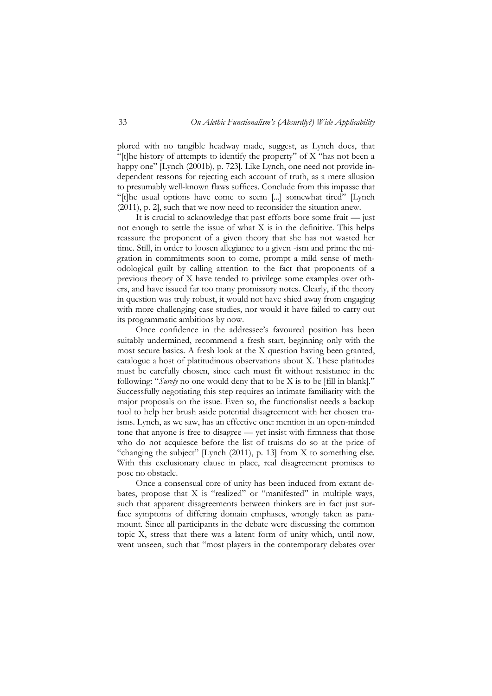plored with no tangible headway made, suggest, as Lynch does, that "[t]he history of attempts to identify the property" of  $X$  "has not been a happy one" [Lynch (2001b), p. 723]. Like Lynch, one need not provide independent reasons for rejecting each account of truth, as a mere allusion to presumably well-known flaws suffices. Conclude from this impasse that "[t]he usual options have come to seem [...] somewhat tired" [Lynch (2011), p. 2], such that we now need to reconsider the situation anew.

It is crucial to acknowledge that past efforts bore some fruit — just not enough to settle the issue of what X is in the definitive. This helps reassure the proponent of a given theory that she has not wasted her time. Still, in order to loosen allegiance to a given -ism and prime the migration in commitments soon to come, prompt a mild sense of methodological guilt by calling attention to the fact that proponents of a previous theory of X have tended to privilege some examples over others, and have issued far too many promissory notes. Clearly, if the theory in question was truly robust, it would not have shied away from engaging with more challenging case studies, nor would it have failed to carry out its programmatic ambitions by now.

Once confidence in the addressee's favoured position has been suitably undermined, recommend a fresh start, beginning only with the most secure basics. A fresh look at the X question having been granted, catalogue a host of platitudinous observations about X. These platitudes must be carefully chosen, since each must fit without resistance in the following: "*Surely* no one would deny that to be X is to be [fill in blank]." Successfully negotiating this step requires an intimate familiarity with the major proposals on the issue. Even so, the functionalist needs a backup tool to help her brush aside potential disagreement with her chosen truisms. Lynch, as we saw, has an effective one: mention in an open-minded tone that anyone is free to disagree — yet insist with firmness that those who do not acquiesce before the list of truisms do so at the price of "changing the subject" [Lynch (2011), p. 13] from X to something else. With this exclusionary clause in place, real disagreement promises to pose no obstacle.

Once a consensual core of unity has been induced from extant debates, propose that X is "realized" or "manifested" in multiple ways, such that apparent disagreements between thinkers are in fact just surface symptoms of differing domain emphases, wrongly taken as paramount. Since all participants in the debate were discussing the common topic X, stress that there was a latent form of unity which, until now, went unseen, such that "most players in the contemporary debates over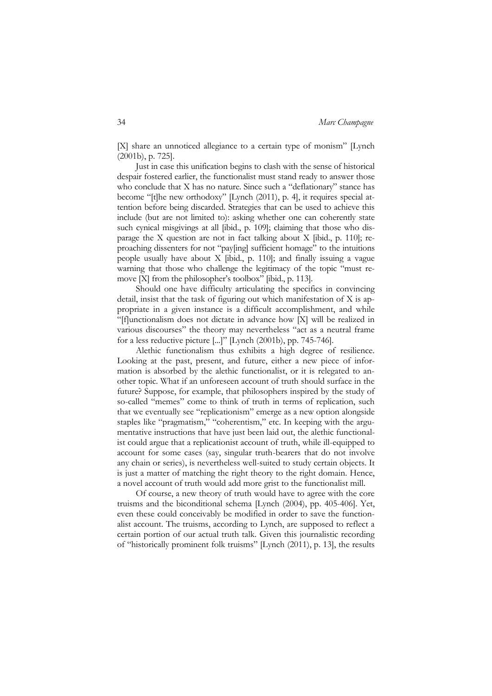[X] share an unnoticed allegiance to a certain type of monism" [Lynch (2001b), p. 725].

Just in case this unification begins to clash with the sense of historical despair fostered earlier, the functionalist must stand ready to answer those who conclude that X has no nature. Since such a "deflationary" stance has become "[t]he new orthodoxy" [Lynch (2011), p. 4], it requires special attention before being discarded. Strategies that can be used to achieve this include (but are not limited to): asking whether one can coherently state such cynical misgivings at all [ibid., p. 109]; claiming that those who disparage the X question are not in fact talking about X [ibid., p. 110]; reproaching dissenters for not "pay[ing] sufficient homage" to the intuitions people usually have about X [ibid., p. 110]; and finally issuing a vague warning that those who challenge the legitimacy of the topic "must remove [X] from the philosopher's toolbox" [ibid., p. 113].

Should one have difficulty articulating the specifics in convincing detail, insist that the task of figuring out which manifestation of X is appropriate in a given instance is a difficult accomplishment, and while "[f]unctionalism does not dictate in advance how [X] will be realized in various discourses" the theory may nevertheless "act as a neutral frame for a less reductive picture [...]" [Lynch (2001b), pp. 745-746].

Alethic functionalism thus exhibits a high degree of resilience. Looking at the past, present, and future, either a new piece of information is absorbed by the alethic functionalist, or it is relegated to another topic. What if an unforeseen account of truth should surface in the future? Suppose, for example, that philosophers inspired by the study of so-called "memes" come to think of truth in terms of replication, such that we eventually see "replicationism" emerge as a new option alongside staples like "pragmatism," "coherentism," etc. In keeping with the argumentative instructions that have just been laid out, the alethic functionalist could argue that a replicationist account of truth, while ill-equipped to account for some cases (say, singular truth-bearers that do not involve any chain or series), is nevertheless well-suited to study certain objects. It is just a matter of matching the right theory to the right domain. Hence, a novel account of truth would add more grist to the functionalist mill.

Of course, a new theory of truth would have to agree with the core truisms and the biconditional schema [Lynch (2004), pp. 405-406]. Yet, even these could conceivably be modified in order to save the functionalist account. The truisms, according to Lynch, are supposed to reflect a certain portion of our actual truth talk. Given this journalistic recording of "historically prominent folk truisms" [Lynch (2011), p. 13], the results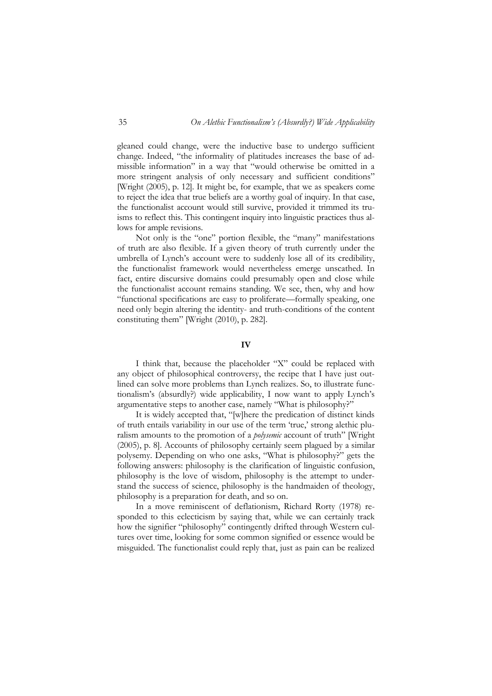gleaned could change, were the inductive base to undergo sufficient change. Indeed, "the informality of platitudes increases the base of admissible information" in a way that "would otherwise be omitted in a more stringent analysis of only necessary and sufficient conditions" [Wright (2005), p. 12]. It might be, for example, that we as speakers come to reject the idea that true beliefs are a worthy goal of inquiry. In that case, the functionalist account would still survive, provided it trimmed its truisms to reflect this. This contingent inquiry into linguistic practices thus allows for ample revisions.

Not only is the "one" portion flexible, the "many" manifestations of truth are also flexible. If a given theory of truth currently under the umbrella of Lynch's account were to suddenly lose all of its credibility, the functionalist framework would nevertheless emerge unscathed. In fact, entire discursive domains could presumably open and close while the functionalist account remains standing. We see, then, why and how "functional specifications are easy to proliferate—formally speaking, one need only begin altering the identity- and truth-conditions of the content constituting them" [Wright (2010), p. 282].

#### **IV**

I think that, because the placeholder "X" could be replaced with any object of philosophical controversy, the recipe that I have just outlined can solve more problems than Lynch realizes. So, to illustrate functionalism's (absurdly?) wide applicability, I now want to apply Lynch's argumentative steps to another case, namely "What is philosophy?"

It is widely accepted that, "[w]here the predication of distinct kinds of truth entails variability in our use of the term 'true,' strong alethic pluralism amounts to the promotion of a *polysemic* account of truth" [Wright (2005), p. 8]. Accounts of philosophy certainly seem plagued by a similar polysemy. Depending on who one asks, "What is philosophy?" gets the following answers: philosophy is the clarification of linguistic confusion, philosophy is the love of wisdom, philosophy is the attempt to understand the success of science, philosophy is the handmaiden of theology, philosophy is a preparation for death, and so on.

In a move reminiscent of deflationism, Richard Rorty (1978) responded to this eclecticism by saying that, while we can certainly track how the signifier "philosophy" contingently drifted through Western cultures over time, looking for some common signified or essence would be misguided. The functionalist could reply that, just as pain can be realized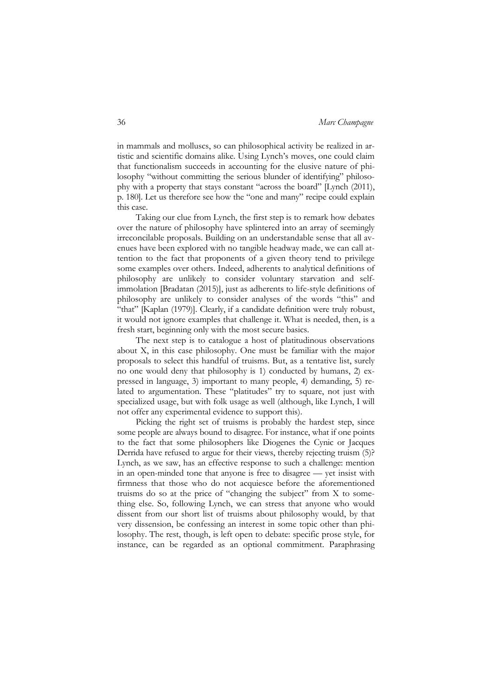in mammals and molluscs, so can philosophical activity be realized in artistic and scientific domains alike. Using Lynch's moves, one could claim that functionalism succeeds in accounting for the elusive nature of philosophy "without committing the serious blunder of identifying" philosophy with a property that stays constant "across the board" [Lynch (2011), p. 180]. Let us therefore see how the "one and many" recipe could explain this case.

Taking our clue from Lynch, the first step is to remark how debates over the nature of philosophy have splintered into an array of seemingly irreconcilable proposals. Building on an understandable sense that all avenues have been explored with no tangible headway made, we can call attention to the fact that proponents of a given theory tend to privilege some examples over others. Indeed, adherents to analytical definitions of philosophy are unlikely to consider voluntary starvation and selfimmolation [Bradatan (2015)], just as adherents to life-style definitions of philosophy are unlikely to consider analyses of the words "this" and "that" [Kaplan (1979)]. Clearly, if a candidate definition were truly robust, it would not ignore examples that challenge it. What is needed, then, is a fresh start, beginning only with the most secure basics.

The next step is to catalogue a host of platitudinous observations about X, in this case philosophy. One must be familiar with the major proposals to select this handful of truisms. But, as a tentative list, surely no one would deny that philosophy is 1) conducted by humans, 2) expressed in language, 3) important to many people, 4) demanding, 5) related to argumentation. These "platitudes" try to square, not just with specialized usage, but with folk usage as well (although, like Lynch, I will not offer any experimental evidence to support this).

Picking the right set of truisms is probably the hardest step, since some people are always bound to disagree. For instance, what if one points to the fact that some philosophers like Diogenes the Cynic or Jacques Derrida have refused to argue for their views, thereby rejecting truism (5)? Lynch, as we saw, has an effective response to such a challenge: mention in an open-minded tone that anyone is free to disagree — yet insist with firmness that those who do not acquiesce before the aforementioned truisms do so at the price of "changing the subject" from X to something else. So, following Lynch, we can stress that anyone who would dissent from our short list of truisms about philosophy would, by that very dissension, be confessing an interest in some topic other than philosophy. The rest, though, is left open to debate: specific prose style, for instance, can be regarded as an optional commitment. Paraphrasing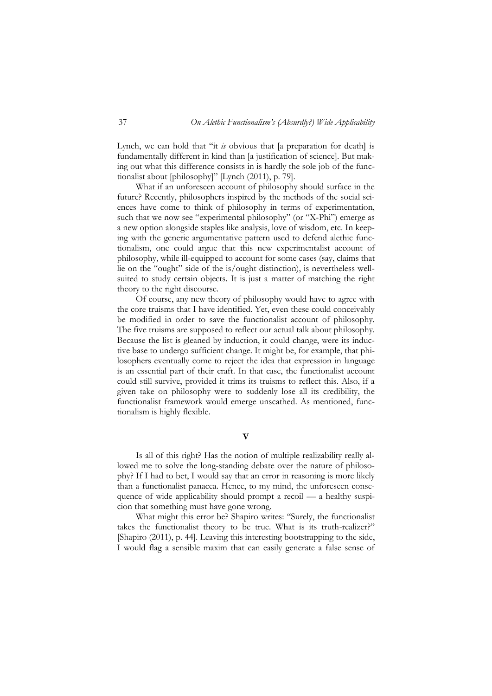Lynch, we can hold that "it *is* obvious that [a preparation for death] is fundamentally different in kind than [a justification of science]. But making out what this difference consists in is hardly the sole job of the functionalist about [philosophy]" [Lynch (2011), p. 79].

What if an unforeseen account of philosophy should surface in the future? Recently, philosophers inspired by the methods of the social sciences have come to think of philosophy in terms of experimentation, such that we now see "experimental philosophy" (or "X-Phi") emerge as a new option alongside staples like analysis, love of wisdom, etc. In keeping with the generic argumentative pattern used to defend alethic functionalism, one could argue that this new experimentalist account of philosophy, while ill-equipped to account for some cases (say, claims that lie on the "ought" side of the is/ought distinction), is nevertheless wellsuited to study certain objects. It is just a matter of matching the right theory to the right discourse.

Of course, any new theory of philosophy would have to agree with the core truisms that I have identified. Yet, even these could conceivably be modified in order to save the functionalist account of philosophy. The five truisms are supposed to reflect our actual talk about philosophy. Because the list is gleaned by induction, it could change, were its inductive base to undergo sufficient change. It might be, for example, that philosophers eventually come to reject the idea that expression in language is an essential part of their craft. In that case, the functionalist account could still survive, provided it trims its truisms to reflect this. Also, if a given take on philosophy were to suddenly lose all its credibility, the functionalist framework would emerge unscathed. As mentioned, functionalism is highly flexible.

# **V**

Is all of this right? Has the notion of multiple realizability really allowed me to solve the long-standing debate over the nature of philosophy? If I had to bet, I would say that an error in reasoning is more likely than a functionalist panacea. Hence, to my mind, the unforeseen consequence of wide applicability should prompt a recoil — a healthy suspicion that something must have gone wrong.

What might this error be? Shapiro writes: "Surely, the functionalist takes the functionalist theory to be true. What is its truth-realizer?" [Shapiro (2011), p. 44]. Leaving this interesting bootstrapping to the side, I would flag a sensible maxim that can easily generate a false sense of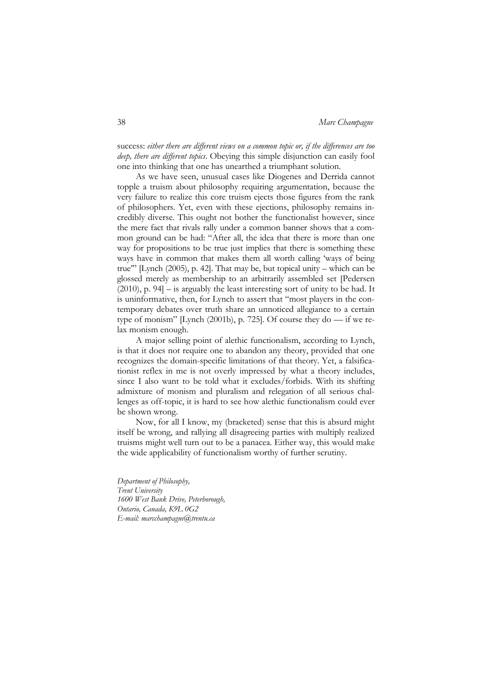success: *either there are different views on a common topic or, if the differences are too deep, there are different topics*. Obeying this simple disjunction can easily fool one into thinking that one has unearthed a triumphant solution.

As we have seen, unusual cases like Diogenes and Derrida cannot topple a truism about philosophy requiring argumentation, because the very failure to realize this core truism ejects those figures from the rank of philosophers. Yet, even with these ejections, philosophy remains incredibly diverse. This ought not bother the functionalist however, since the mere fact that rivals rally under a common banner shows that a common ground can be had: "After all, the idea that there is more than one way for propositions to be true just implies that there is something these ways have in common that makes them all worth calling 'ways of being true'" [Lynch (2005), p. 42]. That may be, but topical unity – which can be glossed merely as membership to an arbitrarily assembled set [Pedersen (2010), p. 94] – is arguably the least interesting sort of unity to be had. It is uninformative, then, for Lynch to assert that "most players in the contemporary debates over truth share an unnoticed allegiance to a certain type of monism" [Lynch (2001b), p. 725]. Of course they do  $-$  if we relax monism enough.

A major selling point of alethic functionalism, according to Lynch, is that it does not require one to abandon any theory, provided that one recognizes the domain-specific limitations of that theory. Yet, a falsificationist reflex in me is not overly impressed by what a theory includes, since I also want to be told what it excludes/forbids. With its shifting admixture of monism and pluralism and relegation of all serious challenges as off-topic, it is hard to see how alethic functionalism could ever be shown wrong.

Now, for all I know, my (bracketed) sense that this is absurd might itself be wrong, and rallying all disagreeing parties with multiply realized truisms might well turn out to be a panacea. Either way, this would make the wide applicability of functionalism worthy of further scrutiny.

*Department of Philosophy, Trent University 1600 West Bank Drive, Peterborough, Ontario, Canada, K9L 0G2 E-mail: marcchampagne@trentu.ca*